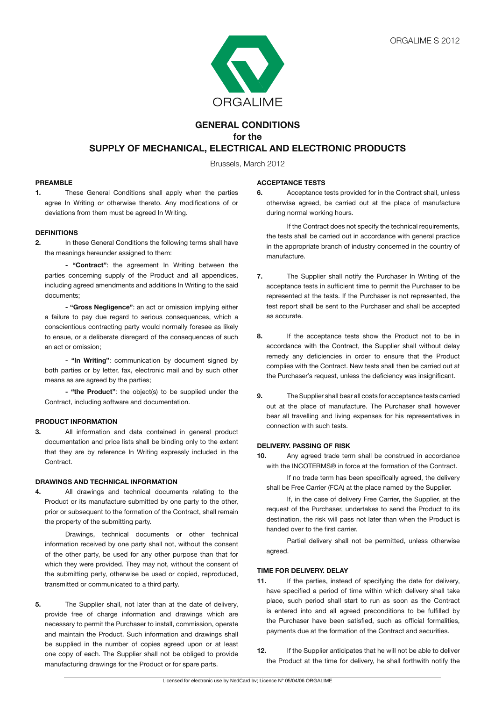

# **GENERAL CONDITIONS for the SUPPLY OF MECHANICAL, ELECTRICAL AND ELECTRONIC PRODUCTS**

Brussels, March 2012

### **PREAMBLE**

**1.** These General Conditions shall apply when the parties agree In Writing or otherwise thereto. Any modifications of or deviations from them must be agreed In Writing.

## **DEFINITIONS**

**2.** In these General Conditions the following terms shall have the meanings hereunder assigned to them:

**- "Contract"**: the agreement In Writing between the parties concerning supply of the Product and all appendices, including agreed amendments and additions In Writing to the said documents;

**- "Gross Negligence"**: an act or omission implying either a failure to pay due regard to serious consequences, which a conscientious contracting party would normally foresee as likely to ensue, or a deliberate disregard of the consequences of such an act or omission;

 **- "In Writing"**: communication by document signed by both parties or by letter, fax, electronic mail and by such other means as are agreed by the parties;

**- "the Product"**: the object(s) to be supplied under the Contract, including software and documentation.

### **PRODUCT INFORMATION**

**3.** All information and data contained in general product documentation and price lists shall be binding only to the extent that they are by reference In Writing expressly included in the Contract.

### **DRAWINGS AND TECHNICAL INFORMATION**

**4.** All drawings and technical documents relating to the Product or its manufacture submitted by one party to the other, prior or subsequent to the formation of the Contract, shall remain the property of the submitting party.

 Drawings, technical documents or other technical information received by one party shall not, without the consent of the other party, be used for any other purpose than that for which they were provided. They may not, without the consent of the submitting party, otherwise be used or copied, reproduced, transmitted or communicated to a third party.

**5.** The Supplier shall, not later than at the date of delivery, provide free of charge information and drawings which are necessary to permit the Purchaser to install, commission, operate and maintain the Product. Such information and drawings shall be supplied in the number of copies agreed upon or at least one copy of each. The Supplier shall not be obliged to provide manufacturing drawings for the Product or for spare parts.

### **ACCEPTANCE TESTS**

**6.** Acceptance tests provided for in the Contract shall, unless otherwise agreed, be carried out at the place of manufacture during normal working hours.

 If the Contract does not specify the technical requirements, the tests shall be carried out in accordance with general practice in the appropriate branch of industry concerned in the country of manufacture.

- **7.** The Supplier shall notify the Purchaser In Writing of the acceptance tests in sufficient time to permit the Purchaser to be represented at the tests. If the Purchaser is not represented, the test report shall be sent to the Purchaser and shall be accepted as accurate.
- **8.** If the acceptance tests show the Product not to be in accordance with the Contract, the Supplier shall without delay remedy any deficiencies in order to ensure that the Product complies with the Contract. New tests shall then be carried out at the Purchaser's request, unless the deficiency was insignificant.
- **9.** The Supplier shall bear all costs for acceptance tests carried out at the place of manufacture. The Purchaser shall however bear all travelling and living expenses for his representatives in connection with such tests.

### **DELIVERY. PASSING OF RISK**

**10.** Any agreed trade term shall be construed in accordance with the INCOTERMS® in force at the formation of the Contract.

 If no trade term has been specifically agreed, the delivery shall be Free Carrier (FCA) at the place named by the Supplier.

 If, in the case of delivery Free Carrier, the Supplier, at the request of the Purchaser, undertakes to send the Product to its destination, the risk will pass not later than when the Product is handed over to the first carrier.

 Partial delivery shall not be permitted, unless otherwise agreed.

## **TIME FOR DELIVERY. DELAY**

- **11.** If the parties, instead of specifying the date for delivery, have specified a period of time within which delivery shall take place, such period shall start to run as soon as the Contract is entered into and all agreed preconditions to be fulfilled by the Purchaser have been satisfied, such as official formalities, payments due at the formation of the Contract and securities.
- **12.** If the Supplier anticipates that he will not be able to deliver the Product at the time for delivery, he shall forthwith notify the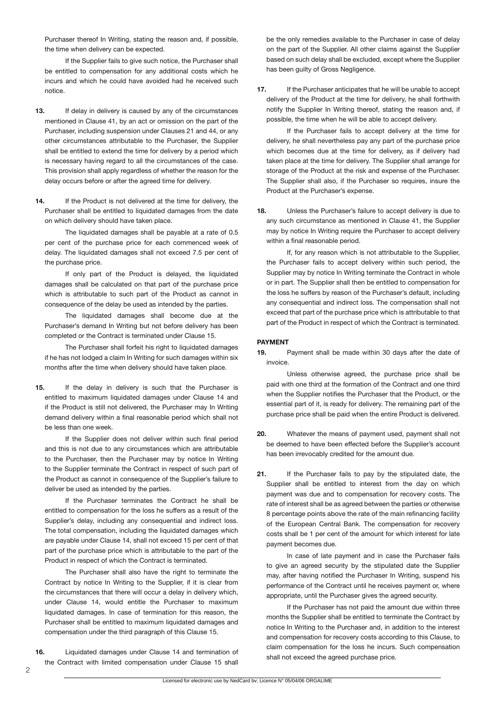Purchaser thereof In Writing, stating the reason and, if possible, the time when delivery can be expected.

 If the Supplier fails to give such notice, the Purchaser shall be entitled to compensation for any additional costs which he incurs and which he could have avoided had he received such notice.

- **13.** If delay in delivery is caused by any of the circumstances mentioned in Clause 41, by an act or omission on the part of the Purchaser, including suspension under Clauses 21 and 44, or any other circumstances attributable to the Purchaser, the Supplier shall be entitled to extend the time for delivery by a period which is necessary having regard to all the circumstances of the case. This provision shall apply regardless of whether the reason for the delay occurs before or after the agreed time for delivery.
- 14. If the Product is not delivered at the time for delivery, the Purchaser shall be entitled to liquidated damages from the date on which delivery should have taken place.

 The liquidated damages shall be payable at a rate of 0.5 per cent of the purchase price for each commenced week of delay. The liquidated damages shall not exceed 7.5 per cent of the purchase price.

 If only part of the Product is delayed, the liquidated damages shall be calculated on that part of the purchase price which is attributable to such part of the Product as cannot in consequence of the delay be used as intended by the parties.

 The liquidated damages shall become due at the Purchaser's demand In Writing but not before delivery has been completed or the Contract is terminated under Clause 15.

 The Purchaser shall forfeit his right to liquidated damages if he has not lodged a claim In Writing for such damages within six months after the time when delivery should have taken place.

**15.** If the delay in delivery is such that the Purchaser is entitled to maximum liquidated damages under Clause 14 and if the Product is still not delivered, the Purchaser may In Writing demand delivery within a final reasonable period which shall not be less than one week.

 If the Supplier does not deliver within such final period and this is not due to any circumstances which are attributable to the Purchaser, then the Purchaser may by notice In Writing to the Supplier terminate the Contract in respect of such part of the Product as cannot in consequence of the Supplier's failure to deliver be used as intended by the parties.

 If the Purchaser terminates the Contract he shall be entitled to compensation for the loss he suffers as a result of the Supplier's delay, including any consequential and indirect loss. The total compensation, including the liquidated damages which are payable under Clause 14, shall not exceed 15 per cent of that part of the purchase price which is attributable to the part of the Product in respect of which the Contract is terminated.

 The Purchaser shall also have the right to terminate the Contract by notice In Writing to the Supplier, if it is clear from the circumstances that there will occur a delay in delivery which, under Clause 14, would entitle the Purchaser to maximum liquidated damages. In case of termination for this reason, the Purchaser shall be entitled to maximum liquidated damages and compensation under the third paragraph of this Clause 15.

**16.** Liquidated damages under Clause 14 and termination of the Contract with limited compensation under Clause 15 shall

be the only remedies available to the Purchaser in case of delay on the part of the Supplier. All other claims against the Supplier based on such delay shall be excluded, except where the Supplier has been guilty of Gross Negligence.

**17.** If the Purchaser anticipates that he will be unable to accept delivery of the Product at the time for delivery, he shall forthwith notify the Supplier In Writing thereof, stating the reason and, if possible, the time when he will be able to accept delivery.

 If the Purchaser fails to accept delivery at the time for delivery, he shall nevertheless pay any part of the purchase price which becomes due at the time for delivery, as if delivery had taken place at the time for delivery. The Supplier shall arrange for storage of the Product at the risk and expense of the Purchaser. The Supplier shall also, if the Purchaser so requires, insure the Product at the Purchaser's expense.

**18.** Unless the Purchaser's failure to accept delivery is due to any such circumstance as mentioned in Clause 41, the Supplier may by notice In Writing require the Purchaser to accept delivery within a final reasonable period.

 If, for any reason which is not attributable to the Supplier, the Purchaser fails to accept delivery within such period, the Supplier may by notice In Writing terminate the Contract in whole or in part. The Supplier shall then be entitled to compensation for the loss he suffers by reason of the Purchaser's default, including any consequential and indirect loss. The compensation shall not exceed that part of the purchase price which is attributable to that part of the Product in respect of which the Contract is terminated.

## **PAYMENT**

**19.** Payment shall be made within 30 days after the date of invoice.

 Unless otherwise agreed, the purchase price shall be paid with one third at the formation of the Contract and one third when the Supplier notifies the Purchaser that the Product, or the essential part of it, is ready for delivery. The remaining part of the purchase price shall be paid when the entire Product is delivered.

- **20.** Whatever the means of payment used, payment shall not be deemed to have been effected before the Supplier's account has been irrevocably credited for the amount due.
- **21.** If the Purchaser fails to pay by the stipulated date, the Supplier shall be entitled to interest from the day on which payment was due and to compensation for recovery costs. The rate of interest shall be as agreed between the parties or otherwise 8 percentage points above the rate of the main refinancing facility of the European Central Bank. The compensation for recovery costs shall be 1 per cent of the amount for which interest for late payment becomes due.

 In case of late payment and in case the Purchaser fails to give an agreed security by the stipulated date the Supplier may, after having notified the Purchaser In Writing, suspend his performance of the Contract until he receives payment or, where appropriate, until the Purchaser gives the agreed security.

 If the Purchaser has not paid the amount due within three months the Supplier shall be entitled to terminate the Contract by notice In Writing to the Purchaser and, in addition to the interest and compensation for recovery costs according to this Clause, to claim compensation for the loss he incurs. Such compensation shall not exceed the agreed purchase price.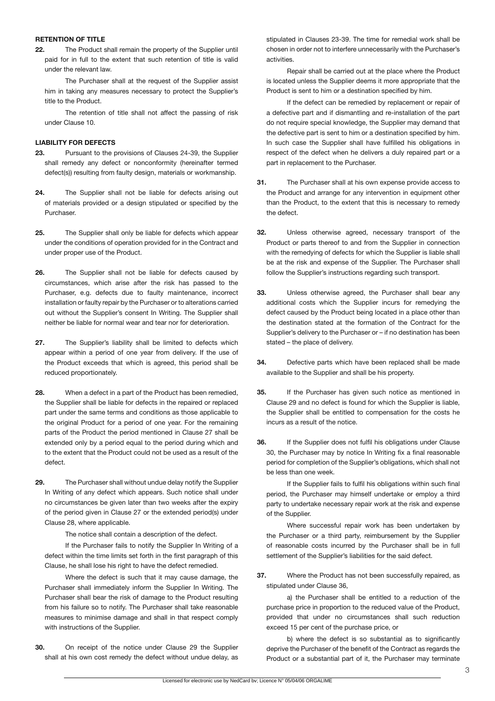#### **RETENTION OF TITLE**

**22.** The Product shall remain the property of the Supplier until paid for in full to the extent that such retention of title is valid under the relevant law.

 The Purchaser shall at the request of the Supplier assist him in taking any measures necessary to protect the Supplier's title to the Product.

 The retention of title shall not affect the passing of risk under Clause 10.

## **LIABILITY FOR DEFECTS**

- **23.** Pursuant to the provisions of Clauses 24-39, the Supplier shall remedy any defect or nonconformity (hereinafter termed defect(s)) resulting from faulty design, materials or workmanship.
- **24.** The Supplier shall not be liable for defects arising out of materials provided or a design stipulated or specified by the Purchaser.
- **25.** The Supplier shall only be liable for defects which appear under the conditions of operation provided for in the Contract and under proper use of the Product.
- **26.** The Supplier shall not be liable for defects caused by circumstances, which arise after the risk has passed to the Purchaser, e.g. defects due to faulty maintenance, incorrect installation or faulty repair by the Purchaser or to alterations carried out without the Supplier's consent In Writing. The Supplier shall neither be liable for normal wear and tear nor for deterioration.
- **27.** The Supplier's liability shall be limited to defects which appear within a period of one year from delivery. If the use of the Product exceeds that which is agreed, this period shall be reduced proportionately.
- **28.** When a defect in a part of the Product has been remedied, the Supplier shall be liable for defects in the repaired or replaced part under the same terms and conditions as those applicable to the original Product for a period of one year. For the remaining parts of the Product the period mentioned in Clause 27 shall be extended only by a period equal to the period during which and to the extent that the Product could not be used as a result of the defect.
- **29.** The Purchaser shall without undue delay notify the Supplier In Writing of any defect which appears. Such notice shall under no circumstances be given later than two weeks after the expiry of the period given in Clause 27 or the extended period(s) under Clause 28, where applicable.

 The notice shall contain a description of the defect.

 If the Purchaser fails to notify the Supplier In Writing of a defect within the time limits set forth in the first paragraph of this Clause, he shall lose his right to have the defect remedied.

 Where the defect is such that it may cause damage, the Purchaser shall immediately inform the Supplier In Writing. The Purchaser shall bear the risk of damage to the Product resulting from his failure so to notify. The Purchaser shall take reasonable measures to minimise damage and shall in that respect comply with instructions of the Supplier.

**30.** On receipt of the notice under Clause 29 the Supplier shall at his own cost remedy the defect without undue delay, as

stipulated in Clauses 23-39. The time for remedial work shall be chosen in order not to interfere unnecessarily with the Purchaser's activities.

 Repair shall be carried out at the place where the Product is located unless the Supplier deems it more appropriate that the Product is sent to him or a destination specified by him.

 If the defect can be remedied by replacement or repair of a defective part and if dismantling and re-installation of the part do not require special knowledge, the Supplier may demand that the defective part is sent to him or a destination specified by him. In such case the Supplier shall have fulfilled his obligations in respect of the defect when he delivers a duly repaired part or a part in replacement to the Purchaser.

- **31.** The Purchaser shall at his own expense provide access to the Product and arrange for any intervention in equipment other than the Product, to the extent that this is necessary to remedy the defect.
- **32.** Unless otherwise agreed, necessary transport of the Product or parts thereof to and from the Supplier in connection with the remedying of defects for which the Supplier is liable shall be at the risk and expense of the Supplier. The Purchaser shall follow the Supplier's instructions regarding such transport.
- **33.** Unless otherwise agreed, the Purchaser shall bear any additional costs which the Supplier incurs for remedying the defect caused by the Product being located in a place other than the destination stated at the formation of the Contract for the Supplier's delivery to the Purchaser or – if no destination has been stated – the place of delivery.
- **34.** Defective parts which have been replaced shall be made available to the Supplier and shall be his property.
- **35.** If the Purchaser has given such notice as mentioned in Clause 29 and no defect is found for which the Supplier is liable, the Supplier shall be entitled to compensation for the costs he incurs as a result of the notice.
- **36.** If the Supplier does not fulfil his obligations under Clause 30, the Purchaser may by notice In Writing fix a final reasonable period for completion of the Supplier's obligations, which shall not be less than one week.

 If the Supplier fails to fulfil his obligations within such final period, the Purchaser may himself undertake or employ a third party to undertake necessary repair work at the risk and expense of the Supplier.

 Where successful repair work has been undertaken by the Purchaser or a third party, reimbursement by the Supplier of reasonable costs incurred by the Purchaser shall be in full settlement of the Supplier's liabilities for the said defect.

**37.** Where the Product has not been successfully repaired, as stipulated under Clause 36,

 a) the Purchaser shall be entitled to a reduction of the purchase price in proportion to the reduced value of the Product, provided that under no circumstances shall such reduction exceed 15 per cent of the purchase price, or

b) where the defect is so substantial as to significantly deprive the Purchaser of the benefit of the Contract as regards the Product or a substantial part of it, the Purchaser may terminate